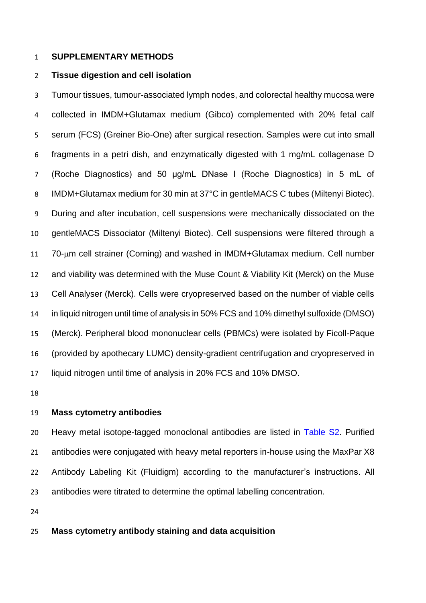# **SUPPLEMENTARY METHODS**

### **Tissue digestion and cell isolation**

 Tumour tissues, tumour-associated lymph nodes, and colorectal healthy mucosa were collected in IMDM+Glutamax medium (Gibco) complemented with 20% fetal calf serum (FCS) (Greiner Bio-One) after surgical resection. Samples were cut into small fragments in a petri dish, and enzymatically digested with 1 mg/mL collagenase D (Roche Diagnostics) and 50 μg/mL DNase I (Roche Diagnostics) in 5 mL of 8 IMDM+Glutamax medium for 30 min at 37°C in gentleMACS C tubes (Miltenyi Biotec). During and after incubation, cell suspensions were mechanically dissociated on the gentleMACS Dissociator (Miltenyi Biotec). Cell suspensions were filtered through a 70-um cell strainer (Corning) and washed in IMDM+Glutamax medium. Cell number and viability was determined with the Muse Count & Viability Kit (Merck) on the Muse Cell Analyser (Merck). Cells were cryopreserved based on the number of viable cells in liquid nitrogen until time of analysis in 50% FCS and 10% dimethyl sulfoxide (DMSO) (Merck). Peripheral blood mononuclear cells (PBMCs) were isolated by Ficoll-Paque (provided by apothecary LUMC) density-gradient centrifugation and cryopreserved in liquid nitrogen until time of analysis in 20% FCS and 10% DMSO.

#### **Mass cytometry antibodies**

20 Heavy metal isotope-tagged monoclonal antibodies are listed in Table S2. Purified antibodies were conjugated with heavy metal reporters in-house using the MaxPar X8 Antibody Labeling Kit (Fluidigm) according to the manufacturer's instructions. All antibodies were titrated to determine the optimal labelling concentration.

## **Mass cytometry antibody staining and data acquisition**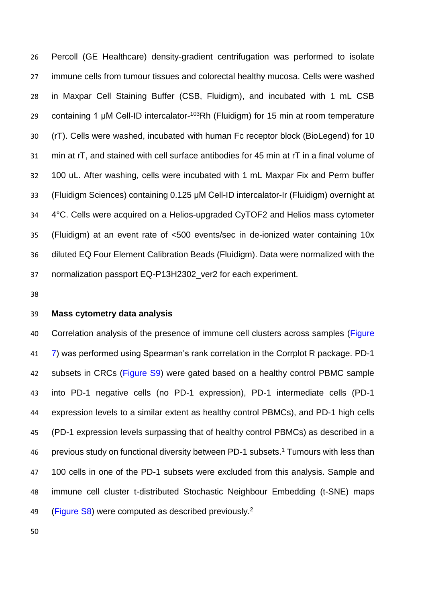Percoll (GE Healthcare) density-gradient centrifugation was performed to isolate immune cells from tumour tissues and colorectal healthy mucosa. Cells were washed in Maxpar Cell Staining Buffer (CSB, Fluidigm), and incubated with 1 mL CSB 29 containing 1 μM Cell-ID intercalator-<sup>103</sup>Rh (Fluidigm) for 15 min at room temperature (rT). Cells were washed, incubated with human Fc receptor block (BioLegend) for 10 min at rT, and stained with cell surface antibodies for 45 min at rT in a final volume of 100 uL. After washing, cells were incubated with 1 mL Maxpar Fix and Perm buffer (Fluidigm Sciences) containing 0.125 μM Cell-ID intercalator-Ir (Fluidigm) overnight at 4°C. Cells were acquired on a Helios-upgraded CyTOF2 and Helios mass cytometer (Fluidigm) at an event rate of <500 events/sec in de-ionized water containing 10x diluted EQ Four Element Calibration Beads (Fluidigm). Data were normalized with the normalization passport EQ-P13H2302\_ver2 for each experiment.

# **Mass cytometry data analysis**

 Correlation analysis of the presence of immune cell clusters across samples (Figure 7) was performed using Spearman's rank correlation in the Corrplot R package. PD-1 42 subsets in CRCs (Figure S9) were gated based on a healthy control PBMC sample into PD-1 negative cells (no PD-1 expression), PD-1 intermediate cells (PD-1 expression levels to a similar extent as healthy control PBMCs), and PD-1 high cells (PD-1 expression levels surpassing that of healthy control PBMCs) as described in a 46 previous study on functional diversity between PD-1 subsets.<sup>1</sup> Tumours with less than 100 cells in one of the PD-1 subsets were excluded from this analysis. Sample and immune cell cluster t-distributed Stochastic Neighbour Embedding (t-SNE) maps 49 (Figure S8) were computed as described previously.<sup>2</sup>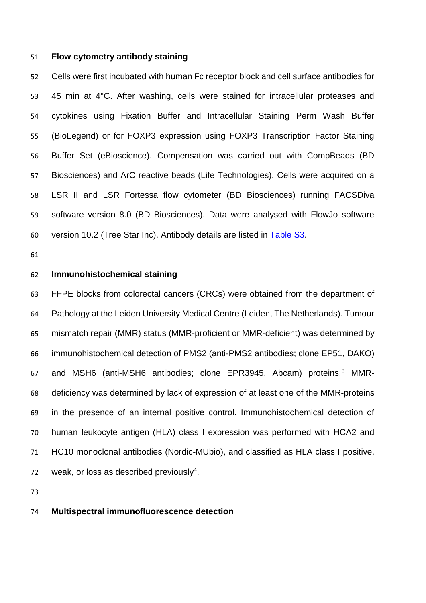#### **Flow cytometry antibody staining**

 Cells were first incubated with human Fc receptor block and cell surface antibodies for 45 min at 4°C. After washing, cells were stained for intracellular proteases and cytokines using Fixation Buffer and Intracellular Staining Perm Wash Buffer (BioLegend) or for FOXP3 expression using FOXP3 Transcription Factor Staining Buffer Set (eBioscience). Compensation was carried out with CompBeads (BD Biosciences) and ArC reactive beads (Life Technologies). Cells were acquired on a LSR II and LSR Fortessa flow cytometer (BD Biosciences) running FACSDiva software version 8.0 (BD Biosciences). Data were analysed with FlowJo software version 10.2 (Tree Star Inc). Antibody details are listed in Table S3.

### **Immunohistochemical staining**

 FFPE blocks from colorectal cancers (CRCs) were obtained from the department of Pathology at the Leiden University Medical Centre (Leiden, The Netherlands). Tumour mismatch repair (MMR) status (MMR-proficient or MMR-deficient) was determined by immunohistochemical detection of PMS2 (anti-PMS2 antibodies; clone EP51, DAKO) 67 and MSH6 (anti-MSH6 antibodies; clone EPR3945, Abcam) proteins.<sup>3</sup> MMR- deficiency was determined by lack of expression of at least one of the MMR-proteins in the presence of an internal positive control. Immunohistochemical detection of human leukocyte antigen (HLA) class I expression was performed with HCA2 and HC10 monoclonal antibodies (Nordic-MUbio), and classified as HLA class I positive, 72 weak, or loss as described previously<sup>4</sup>.

# **Multispectral immunofluorescence detection**